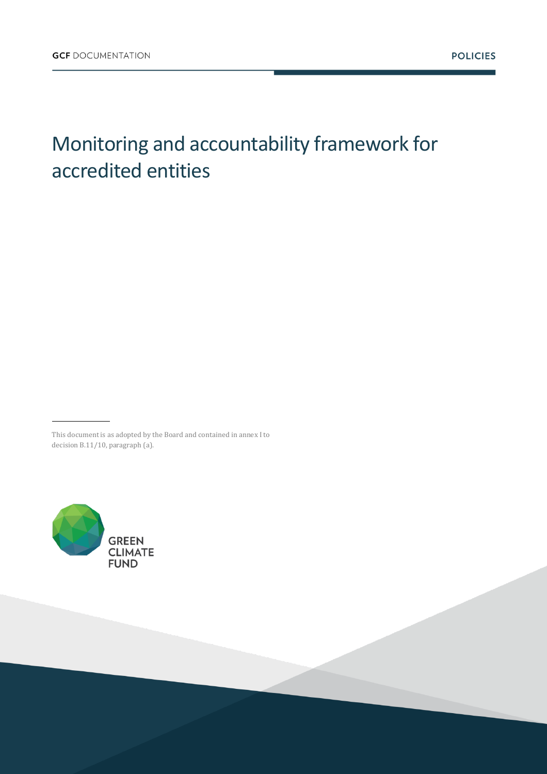# Monitoring and accountability framework for accredited entities

This document is as adopted by the Board and contained in annex I to decision B.11/10, paragraph (a).

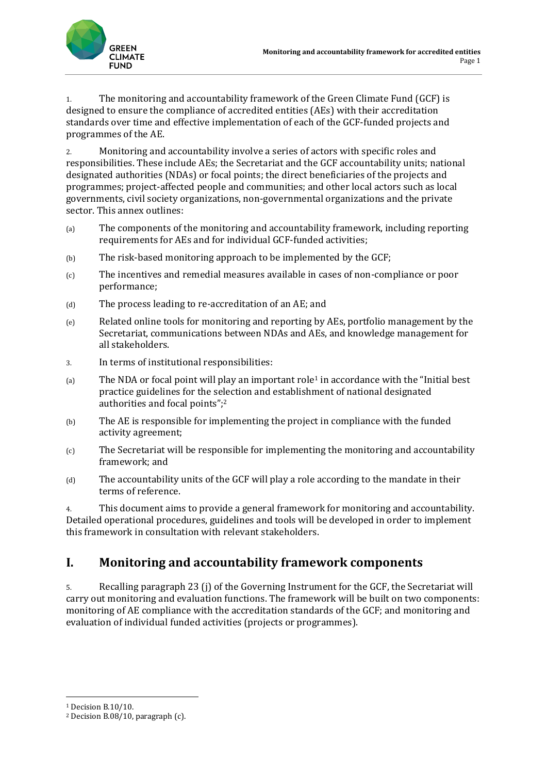

1. The monitoring and accountability framework of the Green Climate Fund (GCF) is designed to ensure the compliance of accredited entities (AEs) with their accreditation standards over time and effective implementation of each of the GCF-funded projects and programmes of the AE.

2. Monitoring and accountability involve a series of actors with specific roles and responsibilities. These include AEs; the Secretariat and the GCF accountability units; national designated authorities (NDAs) or focal points; the direct beneficiaries of the projects and programmes; project-affected people and communities; and other local actors such as local governments, civil society organizations, non-governmental organizations and the private sector. This annex outlines:

- (a) The components of the monitoring and accountability framework, including reporting requirements for AEs and for individual GCF-funded activities;
- (b) The risk-based monitoring approach to be implemented by the GCF;
- (c) The incentives and remedial measures available in cases of non-compliance or poor performance;
- (d) The process leading to re-accreditation of an AE; and
- (e) Related online tools for monitoring and reporting by AEs, portfolio management by the Secretariat, communications between NDAs and AEs, and knowledge management for all stakeholders.
- 3. In terms of institutional responsibilities:
- (a) The NDA or focal point will play an important role<sup>1</sup> in accordance with the "Initial best practice guidelines for the selection and establishment of national designated authorities and focal points"; 2
- (b) The AE is responsible for implementing the project in compliance with the funded activity agreement;
- $(c)$  The Secretariat will be responsible for implementing the monitoring and accountability framework; and
- (d) The accountability units of the GCF will play a role according to the mandate in their terms of reference.

4. This document aims to provide a general framework for monitoring and accountability. Detailed operational procedures, guidelines and tools will be developed in order to implement this framework in consultation with relevant stakeholders.

#### **I. Monitoring and accountability framework components**

5. Recalling paragraph 23 (j) of the Governing Instrument for the GCF, the Secretariat will carry out monitoring and evaluation functions. The framework will be built on two components: monitoring of AE compliance with the accreditation standards of the GCF; and monitoring and evaluation of individual funded activities (projects or programmes).

**.** 

<sup>1</sup> Decision B.10/10.

<sup>2</sup> Decision B.08/10, paragraph (c).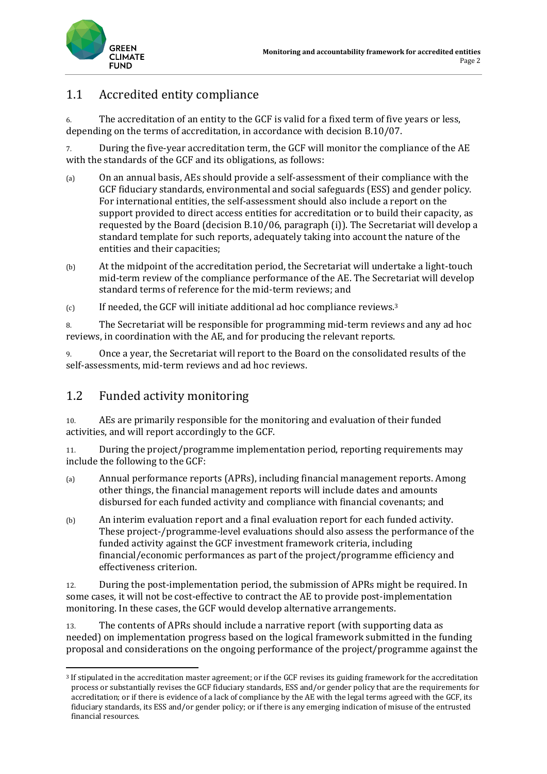

## 1.1 Accredited entity compliance

6. The accreditation of an entity to the GCF is valid for a fixed term of five years or less, depending on the terms of accreditation, in accordance with decision B.10/07.

7. During the five-year accreditation term, the GCF will monitor the compliance of the AE with the standards of the GCF and its obligations, as follows:

- (a) On an annual basis, AEs should provide a self-assessment of their compliance with the GCF fiduciary standards, environmental and social safeguards (ESS) and gender policy. For international entities, the self-assessment should also include a report on the support provided to direct access entities for accreditation or to build their capacity, as requested by the Board (decision B.10/06, paragraph (i)). The Secretariat will develop a standard template for such reports, adequately taking into account the nature of the entities and their capacities;
- (b) At the midpoint of the accreditation period, the Secretariat will undertake a light-touch mid-term review of the compliance performance of the AE. The Secretariat will develop standard terms of reference for the mid-term reviews; and
- $(c)$  If needed, the GCF will initiate additional ad hoc compliance reviews.<sup>3</sup>

8. The Secretariat will be responsible for programming mid-term reviews and any ad hoc reviews, in coordination with the AE, and for producing the relevant reports.

9. Once a year, the Secretariat will report to the Board on the consolidated results of the self-assessments, mid-term reviews and ad hoc reviews.

## 1.2 Funded activity monitoring

1

10. AEs are primarily responsible for the monitoring and evaluation of their funded activities, and will report accordingly to the GCF.

11. During the project/programme implementation period, reporting requirements may include the following to the GCF:

- (a) Annual performance reports (APRs), including financial management reports. Among other things, the financial management reports will include dates and amounts disbursed for each funded activity and compliance with financial covenants; and
- (b) An interim evaluation report and a final evaluation report for each funded activity. These project-/programme-level evaluations should also assess the performance of the funded activity against the GCF investment framework criteria, including financial/economic performances as part of the project/programme efficiency and effectiveness criterion.

12. During the post-implementation period, the submission of APRs might be required. In some cases, it will not be cost-effective to contract the AE to provide post-implementation monitoring. In these cases, the GCF would develop alternative arrangements.

13. The contents of APRs should include a narrative report (with supporting data as needed) on implementation progress based on the logical framework submitted in the funding proposal and considerations on the ongoing performance of the project/programme against the

<sup>3</sup> If stipulated in the accreditation master agreement; or if the GCF revises its guiding framework for the accreditation process or substantially revises the GCF fiduciary standards, ESS and/or gender policy that are the requirements for accreditation; or if there is evidence of a lack of compliance by the AE with the legal terms agreed with the GCF, its fiduciary standards, its ESS and/or gender policy; or if there is any emerging indication of misuse of the entrusted financial resources.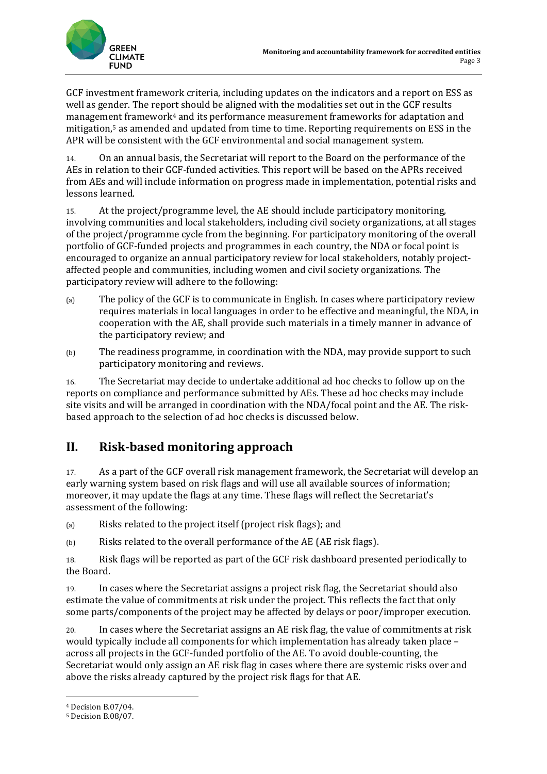

GCF investment framework criteria, including updates on the indicators and a report on ESS as well as gender. The report should be aligned with the modalities set out in the GCF results management framework<sup>4</sup> and its performance measurement frameworks for adaptation and mitigation,<sup>5</sup> as amended and updated from time to time. Reporting requirements on ESS in the APR will be consistent with the GCF environmental and social management system.

14. On an annual basis, the Secretariat will report to the Board on the performance of the AEs in relation to their GCF-funded activities. This report will be based on the APRs received from AEs and will include information on progress made in implementation, potential risks and lessons learned.

15. At the project/programme level, the AE should include participatory monitoring, involving communities and local stakeholders, including civil society organizations, at all stages of the project/programme cycle from the beginning. For participatory monitoring of the overall portfolio of GCF-funded projects and programmes in each country, the NDA or focal point is encouraged to organize an annual participatory review for local stakeholders, notably projectaffected people and communities, including women and civil society organizations. The participatory review will adhere to the following:

- (a) The policy of the GCF is to communicate in English. In cases where participatory review requires materials in local languages in order to be effective and meaningful, the NDA, in cooperation with the AE, shall provide such materials in a timely manner in advance of the participatory review; and
- (b) The readiness programme, in coordination with the NDA, may provide support to such participatory monitoring and reviews.

16. The Secretariat may decide to undertake additional ad hoc checks to follow up on the reports on compliance and performance submitted by AEs. These ad hoc checks may include site visits and will be arranged in coordination with the NDA/focal point and the AE. The riskbased approach to the selection of ad hoc checks is discussed below.

## **II. Risk-based monitoring approach**

17. As a part of the GCF overall risk management framework, the Secretariat will develop an early warning system based on risk flags and will use all available sources of information; moreover, it may update the flags at any time. These flags will reflect the Secretariat's assessment of the following:

(a) Risks related to the project itself (project risk flags); and

(b) Risks related to the overall performance of the AE (AE risk flags).

18. Risk flags will be reported as part of the GCF risk dashboard presented periodically to the Board.

19. In cases where the Secretariat assigns a project risk flag, the Secretariat should also estimate the value of commitments at risk under the project. This reflects the fact that only some parts/components of the project may be affected by delays or poor/improper execution.

20. In cases where the Secretariat assigns an AE risk flag, the value of commitments at risk would typically include all components for which implementation has already taken place – across all projects in the GCF-funded portfolio of the AE. To avoid double-counting, the Secretariat would only assign an AE risk flag in cases where there are systemic risks over and above the risks already captured by the project risk flags for that AE.

**.** 

<sup>4</sup> Decision B.07/04.

<sup>5</sup> Decision B.08/07.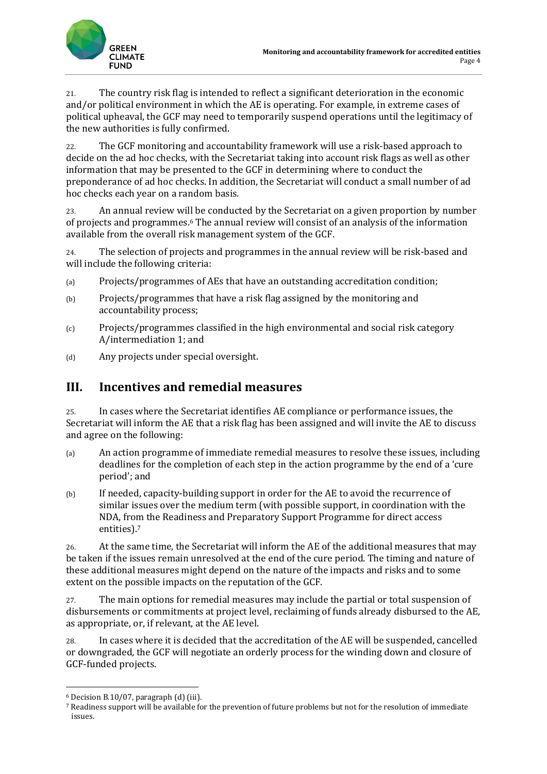

21. The country risk flag is intended to reflect a significant deterioration in the economic and/or political environment in which the AE is operating. For example, in extreme cases of political upheaval, the GCF may need to temporarily suspend operations until the legitimacy of the new authorities is fully confirmed.

22. The GCF monitoring and accountability framework will use a risk-based approach to decide on the ad hoc checks, with the Secretariat taking into account risk flags as well as other information that may be presented to the GCF in determining where to conduct the preponderance of ad hoc checks. In addition, the Secretariat will conduct a small number of ad hoc checks each year on a random basis.

23. An annual review will be conducted by the Secretariat on a given proportion by number of projects and programmes.<sup>6</sup> The annual review will consist of an analysis of the information available from the overall risk management system of the GCF.

24. The selection of projects and programmes in the annual review will be risk-based and will include the following criteria:

- (a) Projects/programmes of AEs that have an outstanding accreditation condition;
- (b) Projects/programmes that have a risk flag assigned by the monitoring and accountability process;
- (c) Projects/programmes classified in the high environmental and social risk category A/intermediation 1; and
- (d) Any projects under special oversight.

#### **III. Incentives and remedial measures**

25. In cases where the Secretariat identifies AE compliance or performance issues, the Secretariat will inform the AE that a risk flag has been assigned and will invite the AE to discuss and agree on the following:

- (a) An action programme of immediate remedial measures to resolve these issues, including deadlines for the completion of each step in the action programme by the end of a 'cure period'; and
- (b) If needed, capacity-building support in order for the AE to avoid the recurrence of similar issues over the medium term (with possible support, in coordination with the NDA, from the Readiness and Preparatory Support Programme for direct access entities).<sup>7</sup>

26. At the same time, the Secretariat will inform the AE of the additional measures that may be taken if the issues remain unresolved at the end of the cure period. The timing and nature of these additional measures might depend on the nature of the impacts and risks and to some extent on the possible impacts on the reputation of the GCF.

27. The main options for remedial measures may include the partial or total suspension of disbursements or commitments at project level, reclaiming of funds already disbursed to the AE, as appropriate, or, if relevant, at the AE level.

28. In cases where it is decided that the accreditation of the AE will be suspended, cancelled or downgraded*,* the GCF will negotiate an orderly process for the winding down and closure of GCF-funded projects.

**<sup>.</sup>** <sup>6</sup> Decision B.10/07, paragraph (d) (iii).

<sup>7</sup> Readiness support will be available for the prevention of future problems but not for the resolution of immediate issues.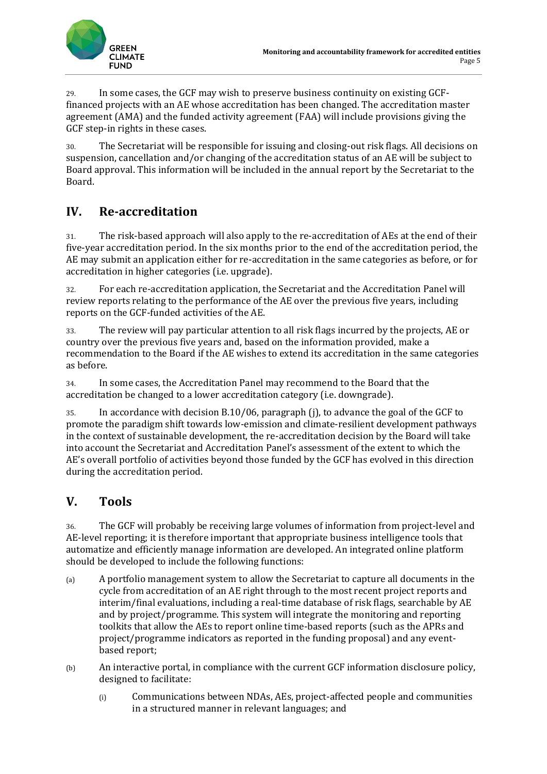

29. In some cases, the GCF may wish to preserve business continuity on existing GCFfinanced projects with an AE whose accreditation has been changed. The accreditation master agreement (AMA) and the funded activity agreement (FAA) will include provisions giving the GCF step-in rights in these cases.

30. The Secretariat will be responsible for issuing and closing-out risk flags. All decisions on suspension, cancellation and/or changing of the accreditation status of an AE will be subject to Board approval. This information will be included in the annual report by the Secretariat to the Board.

## **IV. Re-accreditation**

31. The risk-based approach will also apply to the re-accreditation of AEs at the end of their five-year accreditation period. In the six months prior to the end of the accreditation period, the AE may submit an application either for re-accreditation in the same categories as before, or for accreditation in higher categories (i.e. upgrade).

32. For each re-accreditation application, the Secretariat and the Accreditation Panel will review reports relating to the performance of the AE over the previous five years, including reports on the GCF-funded activities of the AE.

33. The review will pay particular attention to all risk flags incurred by the projects, AE or country over the previous five years and, based on the information provided, make a recommendation to the Board if the AE wishes to extend its accreditation in the same categories as before.

34. In some cases, the Accreditation Panel may recommend to the Board that the accreditation be changed to a lower accreditation category (i.e. downgrade).

35. In accordance with decision B.10/06, paragraph (j), to advance the goal of the GCF to promote the paradigm shift towards low-emission and climate-resilient development pathways in the context of sustainable development, the re-accreditation decision by the Board will take into account the Secretariat and Accreditation Panel's assessment of the extent to which the AE's overall portfolio of activities beyond those funded by the GCF has evolved in this direction during the accreditation period.

## **V. Tools**

36. The GCF will probably be receiving large volumes of information from project-level and AE-level reporting; it is therefore important that appropriate business intelligence tools that automatize and efficiently manage information are developed. An integrated online platform should be developed to include the following functions:

- (a) A portfolio management system to allow the Secretariat to capture all documents in the cycle from accreditation of an AE right through to the most recent project reports and interim/final evaluations, including a real-time database of risk flags, searchable by AE and by project/programme. This system will integrate the monitoring and reporting toolkits that allow the AEs to report online time-based reports (such as the APRs and project/programme indicators as reported in the funding proposal) and any eventbased report;
- (b) An interactive portal, in compliance with the current GCF information disclosure policy, designed to facilitate:
	- (i) Communications between NDAs, AEs, project-affected people and communities in a structured manner in relevant languages; and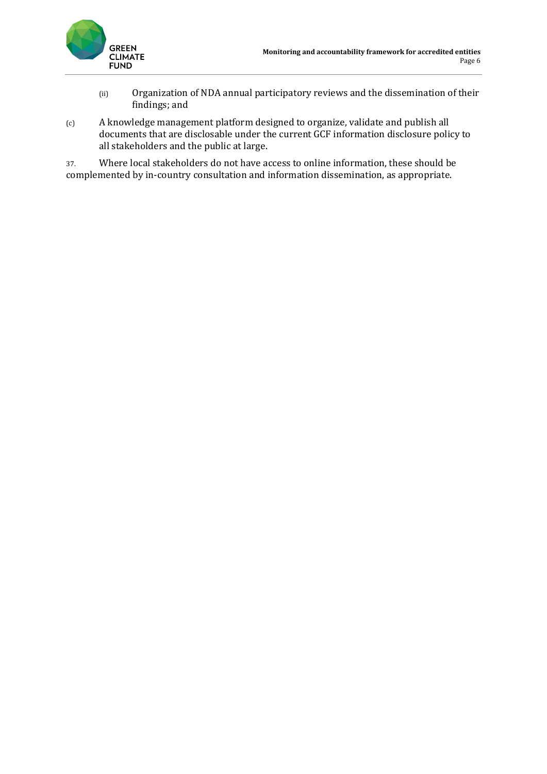

- (ii) Organization of NDA annual participatory reviews and the dissemination of their findings; and
- (c) A knowledge management platform designed to organize, validate and publish all documents that are disclosable under the current GCF information disclosure policy to all stakeholders and the public at large.

37. Where local stakeholders do not have access to online information, these should be complemented by in-country consultation and information dissemination, as appropriate.